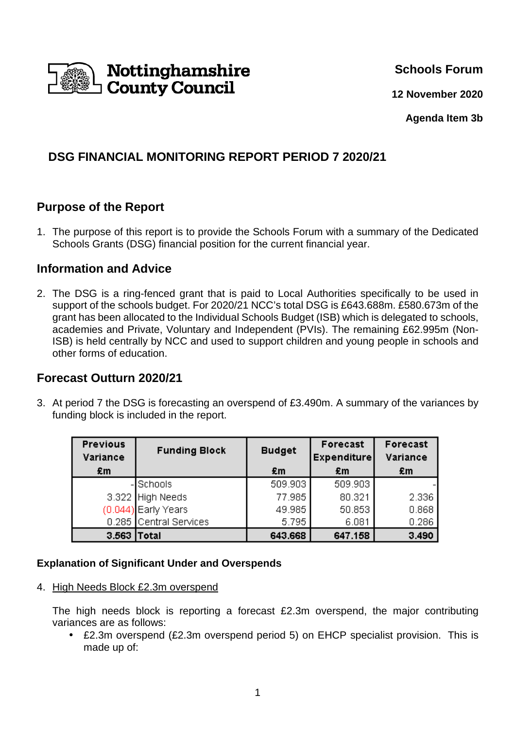

**Schools Forum**

**12 November 2020**

**Agenda Item 3b** 

# **DSG FINANCIAL MONITORING REPORT PERIOD 7 2020/21**

## **Purpose of the Report**

1. The purpose of this report is to provide the Schools Forum with a summary of the Dedicated Schools Grants (DSG) financial position for the current financial year.

### **Information and Advice**

2. The DSG is a ring-fenced grant that is paid to Local Authorities specifically to be used in support of the schools budget. For 2020/21 NCC's total DSG is £643.688m. £580.673m of the grant has been allocated to the Individual Schools Budget (ISB) which is delegated to schools, academies and Private, Voluntary and Independent (PVIs). The remaining £62.995m (Non-ISB) is held centrally by NCC and used to support children and young people in schools and other forms of education.

## **Forecast Outturn 2020/21**

3. At period 7 the DSG is forecasting an overspend of £3.490m. A summary of the variances by funding block is included in the report.

| <b>Previous</b><br>Variance | <b>Funding Block</b>   | <b>Budget</b> | Forecast<br><b>Expenditure</b> | Forecast<br>Variance |
|-----------------------------|------------------------|---------------|--------------------------------|----------------------|
| £m                          |                        | £m            | £m                             | £m                   |
|                             | -Schools               | 509.903       | 509.903                        |                      |
|                             | 3.322 High Needs       | 77.985        | 80.321                         | 2.336                |
|                             | (0.044) Early Years    | 49.985        | 50.853                         | 0.868                |
|                             | 0.285 Central Services | 5.795         | 6.081                          | 0.286                |
| 3.563 Total                 |                        | 643.668       | 647.158                        | 3.490                |

#### **Explanation of Significant Under and Overspends**

4. High Needs Block £2.3m overspend

The high needs block is reporting a forecast £2.3m overspend, the major contributing variances are as follows:

• £2.3m overspend (£2.3m overspend period 5) on EHCP specialist provision. This is made up of: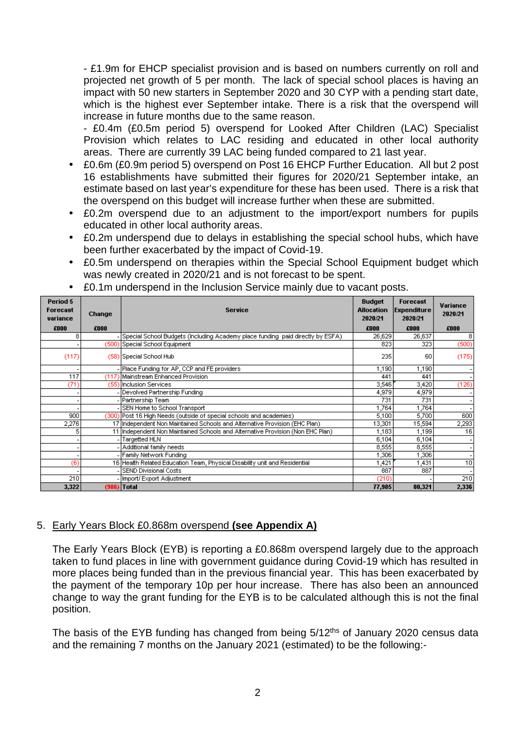- £1.9m for EHCP specialist provision and is based on numbers currently on roll and projected net growth of 5 per month. The lack of special school places is having an impact with 50 new starters in September 2020 and 30 CYP with a pending start date, which is the highest ever September intake. There is a risk that the overspend will increase in future months due to the same reason.

- £0.4m (£0.5m period 5) overspend for Looked After Children (LAC) Specialist Provision which relates to LAC residing and educated in other local authority areas. There are currently 39 LAC being funded compared to 21 last year.

- £0.6m (£0.9m period 5) overspend on Post 16 EHCP Further Education. All but 2 post 16 establishments have submitted their figures for 2020/21 September intake, an estimate based on last year's expenditure for these has been used. There is a risk that the overspend on this budget will increase further when these are submitted.
- £0.2m overspend due to an adjustment to the import/export numbers for pupils educated in other local authority areas.
- £0.2m underspend due to delays in establishing the special school hubs, which have been further exacerbated by the impact of Covid-19.
- £0.5m underspend on therapies within the Special School Equipment budget which was newly created in 2020/21 and is not forecast to be spent.

| Period 5<br>Forecast<br>variance | Change | <b>Service</b>                                                                   | <b>Budget</b><br><b>Allocation</b><br>2020/21 | <b>Forecast</b><br><b>Expenditure</b><br>2020/21 | Variance<br>2020/21 |
|----------------------------------|--------|----------------------------------------------------------------------------------|-----------------------------------------------|--------------------------------------------------|---------------------|
| £000                             | £000   |                                                                                  | £000                                          | £000                                             | £000                |
| 8                                |        | Special School Budgets (Including Academy place funding lpaid directly by ESFA). | 26,629                                        | 26,637                                           | 8                   |
|                                  |        | (500) Special School Equipment                                                   | 823                                           | 323                                              | (500)               |
| (117)                            |        | (58) Special School Hub                                                          | 235                                           | 60                                               | (175)               |
|                                  |        | - Place Funding for AP, CCP and FE providers                                     | 1,190                                         | 1,190                                            |                     |
| 117                              |        | (117) Mainstream Enhanced Provision                                              | 441                                           | 441                                              |                     |
| (71)                             |        | (55) Inclusion Services                                                          | 3,546                                         | 3,420                                            | (126)               |
|                                  |        | - Devolved Partnership Funding                                                   | 4,979                                         | 4,979                                            |                     |
|                                  |        | - Partnership Team                                                               | 731                                           | 731                                              |                     |
|                                  |        | - SEN Home to School Transport                                                   | 1,764                                         | 1,764                                            |                     |
| 900                              |        | (300) Post 16 High Needs (outside of special schools and academies)              | 5,100                                         | 5,700                                            | 600                 |
| 2,276                            |        | 17 Independent Non Maintained Schools and Alternative Provision (EHC Plan)       | 13,301                                        | 15,594                                           | 2,293               |
| 5                                |        | 11 Independent Non Maintained Schools and Alternative Provision (Non EHC Plan)   | 1,183                                         | 1,199                                            | 16                  |
|                                  |        | Targetted HLN                                                                    | 6,104                                         | 6,104                                            |                     |
|                                  |        | - Additional family needs                                                        | 8,555                                         | 8,555                                            |                     |
|                                  |        | - Family Network Funding                                                         | 1,306                                         | ,306                                             |                     |
| (6)                              |        | 16 Health Related Education Team, Physical Disability unit and Residential       | ,421                                          | 1,431                                            | 10                  |
|                                  |        | SEND Divisional Costs                                                            | 887                                           | 887                                              |                     |
| 210                              |        | - Import/Export Adjustment                                                       | (210)                                         |                                                  | 210                 |
| 3,322                            |        | (986) Total                                                                      | 77,985                                        | 80,321                                           | 2,336               |

• £0.1m underspend in the Inclusion Service mainly due to vacant posts.

### 5. Early Years Block £0.868m overspend **(see Appendix A)**

The Early Years Block (EYB) is reporting a £0.868m overspend largely due to the approach taken to fund places in line with government guidance during Covid-19 which has resulted in more places being funded than in the previous financial year. This has been exacerbated by the payment of the temporary 10p per hour increase. There has also been an announced change to way the grant funding for the EYB is to be calculated although this is not the final position.

The basis of the EYB funding has changed from being 5/12<sup>ths</sup> of January 2020 census data and the remaining 7 months on the January 2021 (estimated) to be the following:-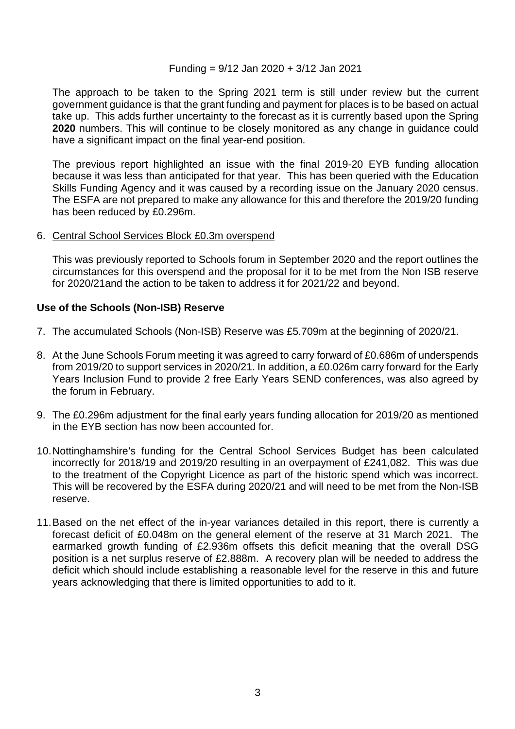#### Funding = 9/12 Jan 2020 + 3/12 Jan 2021

The approach to be taken to the Spring 2021 term is still under review but the current government guidance is that the grant funding and payment for places is to be based on actual take up. This adds further uncertainty to the forecast as it is currently based upon the Spring **2020** numbers. This will continue to be closely monitored as any change in guidance could have a significant impact on the final year-end position.

The previous report highlighted an issue with the final 2019-20 EYB funding allocation because it was less than anticipated for that year. This has been queried with the Education Skills Funding Agency and it was caused by a recording issue on the January 2020 census. The ESFA are not prepared to make any allowance for this and therefore the 2019/20 funding has been reduced by £0.296m.

#### 6. Central School Services Block £0.3m overspend

This was previously reported to Schools forum in September 2020 and the report outlines the circumstances for this overspend and the proposal for it to be met from the Non ISB reserve for 2020/21and the action to be taken to address it for 2021/22 and beyond.

#### **Use of the Schools (Non-ISB) Reserve**

- 7. The accumulated Schools (Non-ISB) Reserve was £5.709m at the beginning of 2020/21.
- 8. At the June Schools Forum meeting it was agreed to carry forward of £0.686m of underspends from 2019/20 to support services in 2020/21. In addition, a £0.026m carry forward for the Early Years Inclusion Fund to provide 2 free Early Years SEND conferences, was also agreed by the forum in February.
- 9. The £0.296m adjustment for the final early years funding allocation for 2019/20 as mentioned in the EYB section has now been accounted for.
- 10. Nottinghamshire's funding for the Central School Services Budget has been calculated incorrectly for 2018/19 and 2019/20 resulting in an overpayment of £241,082. This was due to the treatment of the Copyright Licence as part of the historic spend which was incorrect. This will be recovered by the ESFA during 2020/21 and will need to be met from the Non-ISB reserve.
- 11. Based on the net effect of the in-year variances detailed in this report, there is currently a forecast deficit of £0.048m on the general element of the reserve at 31 March 2021. The earmarked growth funding of £2.936m offsets this deficit meaning that the overall DSG position is a net surplus reserve of £2.888m. A recovery plan will be needed to address the deficit which should include establishing a reasonable level for the reserve in this and future years acknowledging that there is limited opportunities to add to it.